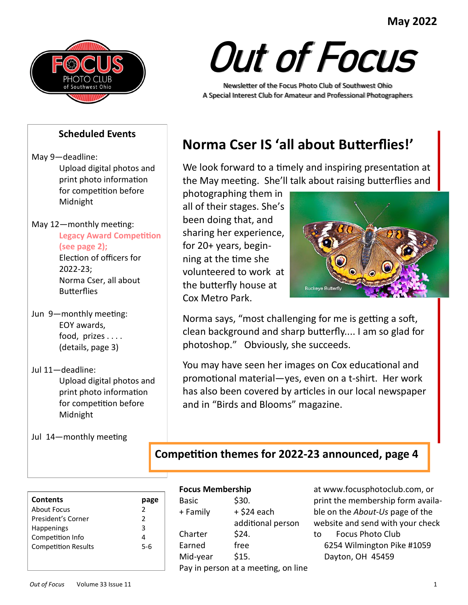# **May 2022**



# Out of Focus

Newsletter of the Focus Photo Club of Southwest Ohio A Special Interest Club for Amateur and Professional Photographers

#### **Scheduled Events**

May 9—deadline: Upload digital photos and print photo information for competition before Midnight

May 12—monthly meeting: **Legacy Award Competition (see page 2);** Election of officers for

2022-23; Norma Cser, all about **Butterflies** 

- Jun 9—monthly meeting: EOY awards, food, prizes . . . . (details, page 3)
- Jul 11—deadline: Upload digital photos and print photo information for competition before Midnight
- Jul 14—monthly meeting

# **Norma Cser IS 'all about Butterflies!'**

We look forward to a timely and inspiring presentation at the May meeting. She'll talk about raising butterflies and

photographing them in all of their stages. She's been doing that, and sharing her experience, for 20+ years, beginning at the time she volunteered to work at the butterfly house at Cox Metro Park.



Norma says, "most challenging for me is getting a soft, clean background and sharp butterfly.... I am so glad for photoshop." Obviously, she succeeds.

You may have seen her images on Cox educational and promotional material—yes, even on a t-shirt. Her work has also been covered by articles in our local newspaper and in "Birds and Blooms" magazine.

# **Competition themes for 2022-23 announced, page 4**

| <b>Contents</b>            |               |
|----------------------------|---------------|
| About Focus                | $\mathcal{P}$ |
| President's Corner         | 2             |
| <b>Happenings</b>          | 3             |
| Competition Info           |               |
| <b>Competition Results</b> | 5-6           |
|                            |               |
|                            |               |

#### **Focus Membership**

| <b>Basic</b> | \$30.                               |
|--------------|-------------------------------------|
| + Family     | + \$24 each                         |
|              | additional person                   |
| Charter      | \$24.                               |
| Earned       | free                                |
| Mid-year     | \$15.                               |
|              | Pay in person at a meeting, on line |

at www.focusphotoclub.com, or print the membership form available on the *About-Us* page of the website and send with your check to Focus Photo Club 6254 Wilmington Pike #1059 Dayton, OH 45459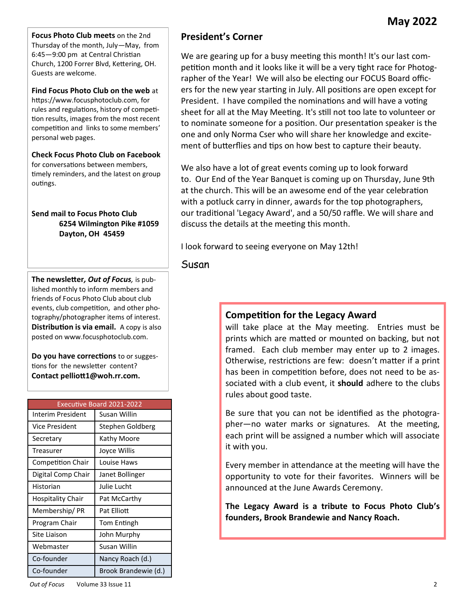**Focus Photo Club meets** on the 2nd Thursday of the month, July—May, from 6:45—9:00 pm at Central Christian Church, 1200 Forrer Blvd, Kettering, OH. Guests are welcome.

**Find Focus Photo Club on the web** at https://www.focusphotoclub.com, for rules and regulations, history of competition results, images from the most recent competition and links to some members' personal web pages.

**Check Focus Photo Club on Facebook**  for conversations between members, timely reminders, and the latest on group outings.

**Send mail to Focus Photo Club 6254 Wilmington Pike #1059 Dayton, OH 45459**

**The newsletter***, Out of Focus,* is published monthly to inform members and friends of Focus Photo Club about club events, club competition, and other photography/photographer items of interest. **Distribution is via email.** A copy is also posted on www.focusphotoclub.com.

**Do you have corrections** to or suggestions for the newsletter content? **Contact pelliott1@woh.rr.com.**

| <b>Executive Board 2021-2022</b> |                      |  |  |  |
|----------------------------------|----------------------|--|--|--|
| Interim President                | Susan Willin         |  |  |  |
| <b>Vice President</b>            | Stephen Goldberg     |  |  |  |
| Secretary                        | Kathy Moore          |  |  |  |
| Treasurer                        | Joyce Willis         |  |  |  |
| <b>Competition Chair</b>         | Louise Haws          |  |  |  |
| Digital Comp Chair               | Janet Bollinger      |  |  |  |
| Historian                        | Julie Lucht          |  |  |  |
| Hospitality Chair                | Pat McCarthy         |  |  |  |
| Membership/PR                    | Pat Flliott          |  |  |  |
| Program Chair                    | Tom Entingh          |  |  |  |
| Site Liaison                     | John Murphy          |  |  |  |
| Webmaster                        | Susan Willin         |  |  |  |
| Co-founder                       | Nancy Roach (d.)     |  |  |  |
| Co-founder                       | Brook Brandewie (d.) |  |  |  |

# **President's Corner**

We are gearing up for a busy meeting this month! It's our last competition month and it looks like it will be a very tight race for Photographer of the Year! We will also be electing our FOCUS Board officers for the new year starting in July. All positions are open except for President. I have compiled the nominations and will have a voting sheet for all at the May Meeting. It's still not too late to volunteer or to nominate someone for a position. Our presentation speaker is the one and only Norma Cser who will share her knowledge and excitement of butterflies and tips on how best to capture their beauty.

We also have a lot of great events coming up to look forward to. Our End of the Year Banquet is coming up on Thursday, June 9th at the church. This will be an awesome end of the year celebration with a potluck carry in dinner, awards for the top photographers, our traditional 'Legacy Award', and a 50/50 raffle. We will share and discuss the details at the meeting this month.

I look forward to seeing everyone on May 12th!

Susan

#### **Competition for the Legacy Award**

will take place at the May meeting. Entries must be prints which are matted or mounted on backing, but not framed. Each club member may enter up to 2 images. Otherwise, restrictions are few: doesn't matter if a print has been in competition before, does not need to be associated with a club event, it **should** adhere to the clubs rules about good taste.

Be sure that you can not be identified as the photographer—no water marks or signatures. At the meeting, each print will be assigned a number which will associate it with you.

Every member in attendance at the meeting will have the opportunity to vote for their favorites. Winners will be announced at the June Awards Ceremony.

**The Legacy Award is a tribute to Focus Photo Club's founders, Brook Brandewie and Nancy Roach.**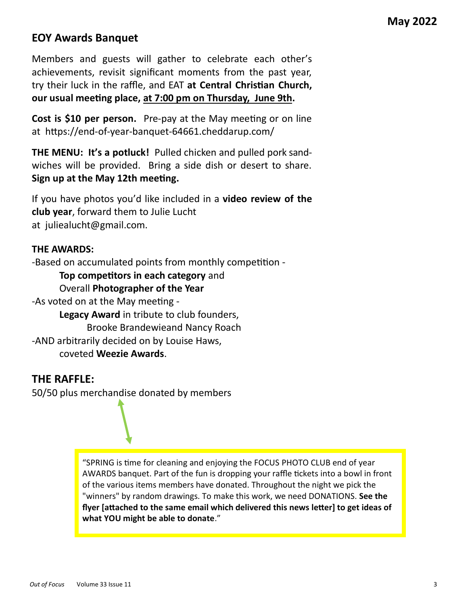# **EOY Awards Banquet**

Members and guests will gather to celebrate each other's achievements, revisit significant moments from the past year, try their luck in the raffle, and EAT **at Central Christian Church, our usual meeting place, at 7:00 pm on Thursday, June 9th.**

**Cost is \$10 per person.** Pre-pay at the May meeting or on line at https://end-of-year-banquet-64661.cheddarup.com/

**THE MENU: It's a potluck!** Pulled chicken and pulled pork sandwiches will be provided. Bring a side dish or desert to share. **Sign up at the May 12th meeting.**

If you have photos you'd like included in a **video review of the club year**, forward them to Julie Lucht at juliealucht@gmail.com.

#### **THE AWARDS:**

-Based on accumulated points from monthly competition -

**Top competitors in each category** and

Overall **Photographer of the Year**

-As voted on at the May meeting - **Legacy Award** in tribute to club founders, Brooke Brandewieand Nancy Roach -AND arbitrarily decided on by Louise Haws, coveted **Weezie Awards**.

#### **THE RAFFLE:**

50/50 plus merchandise donated by members

"SPRING is time for cleaning and enjoying the FOCUS PHOTO CLUB end of year AWARDS banquet. Part of the fun is dropping your raffle tickets into a bowl in front of the various items members have donated. Throughout the night we pick the "winners" by random drawings. To make this work, we need DONATIONS. **See the flyer [attached to the same email which delivered this news letter] to get ideas of what YOU might be able to donate**."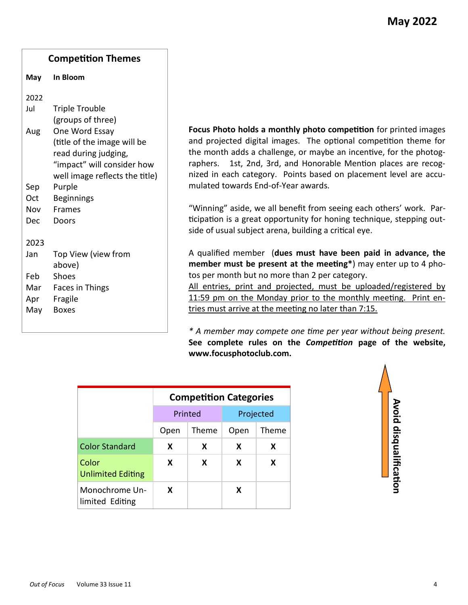# **Competition Themes May In Bloom** 2022 Jul Triple Trouble (groups of three) Aug One Word Essay (title of the image will be read during judging, "impact" will consider how well image reflects the title) Sep Purple Oct Beginnings Nov Frames Dec Doors 2023 Jan Top View (view from above) Feb Shoes Mar Faces in Things Apr Fragile May Boxes

**Focus Photo holds a monthly photo competition** for printed images and projected digital images. The optional competition theme for the month adds a challenge, or maybe an incentive, for the photographers. 1st, 2nd, 3rd, and Honorable Mention places are recognized in each category. Points based on placement level are accumulated towards End-of-Year awards.

"Winning" aside, we all benefit from seeing each others' work. Participation is a great opportunity for honing technique, stepping outside of usual subject arena, building a critical eye.

A qualified member (**dues must have been paid in advance, the member must be present at the meeting\***) may enter up to 4 photos per month but no more than 2 per category.

All entries, print and projected, must be uploaded/registered by 11:59 pm on the Monday prior to the monthly meeting. Print entries must arrive at the meeting no later than 7:15.

*\* A member may compete one time per year without being present.*  **See complete rules on the** *Competition* **page of the website, www.focusphotoclub.com.**

|                                   | <b>Competition Categories</b> |         |      |           |
|-----------------------------------|-------------------------------|---------|------|-----------|
|                                   |                               | Printed |      | Projected |
|                                   | Open                          | Theme   | Open | Theme     |
| <b>Color Standard</b>             | X                             | x       | X    | x         |
| Color<br><b>Unlimited Editing</b> | X                             | x       | X    | x         |
| Monochrome Un-<br>limited Editing | x                             |         | x    |           |

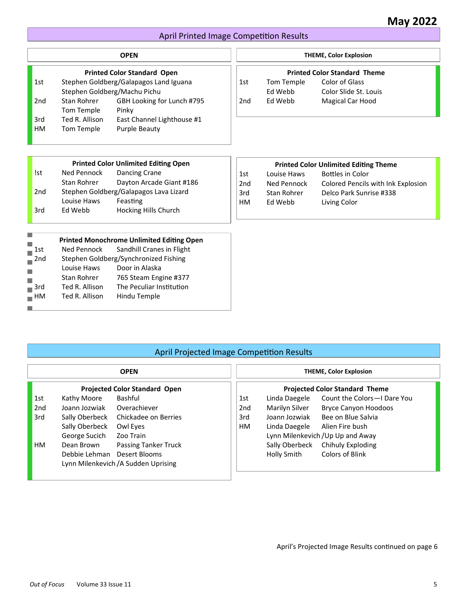#### April Printed Image Competition Results

|                   |                | <b>OPEN</b>                                      |                 |             | <b>THEME, Color Explosion</b>                |
|-------------------|----------------|--------------------------------------------------|-----------------|-------------|----------------------------------------------|
|                   |                | <b>Printed Color Standard Open</b>               |                 |             | <b>Printed Color Standard Theme</b>          |
| 1st               |                | Stephen Goldberg/Galapagos Land Iguana           | 1st             | Tom Temple  | Color of Glass                               |
|                   |                | Stephen Goldberg/Machu Pichu                     |                 | Ed Webb     | Color Slide St. Louis                        |
| 2nd               | Stan Rohrer    | GBH Looking for Lunch #795                       | 2 <sub>nd</sub> | Ed Webb     | Magical Car Hood                             |
|                   | Tom Temple     | Pinky                                            |                 |             |                                              |
| 3rd               | Ted R. Allison | East Channel Lighthouse #1                       |                 |             |                                              |
| <b>HM</b>         | Tom Temple     | <b>Purple Beauty</b>                             |                 |             |                                              |
|                   |                |                                                  |                 |             |                                              |
|                   |                |                                                  |                 |             |                                              |
|                   |                | <b>Printed Color Unlimited Editing Open</b>      |                 |             | <b>Printed Color Unlimited Editing Theme</b> |
| !st               | Ned Pennock    | <b>Dancing Crane</b>                             | 1st             | Louise Haws | <b>Bottles in Color</b>                      |
|                   | Stan Rohrer    | Dayton Arcade Giant #186                         | 2 <sub>nd</sub> | Ned Pennock | Colored Pencils with Ink Explosion           |
| 2 <sub>nd</sub>   |                | Stephen Goldberg/Galapagos Lava Lizard           | 3rd             | Stan Rohrer | Delco Park Sunrise #338                      |
|                   | Louise Haws    | Feasting                                         | <b>HM</b>       | Ed Webb     | Living Color                                 |
| 3rd               | Ed Webb        | Hocking Hills Church                             |                 |             |                                              |
|                   |                |                                                  |                 |             |                                              |
| П                 |                | <b>Printed Monochrome Unlimited Editing Open</b> |                 |             |                                              |
| 1st               | Ned Pennock    | Sandhill Cranes in Flight                        |                 |             |                                              |
| 2 <sub>nd</sub>   |                | Stephen Goldberg/Synchronized Fishing            |                 |             |                                              |
|                   | Louise Haws    | Door in Alaska                                   |                 |             |                                              |
| П                 | Stan Rohrer    | 765 Steam Engine #377                            |                 |             |                                              |
| 3rd               | Ted R. Allison | The Peculiar Institution                         |                 |             |                                              |
| $\blacksquare$ HM | Ted R. Allison | Hindu Temple                                     |                 |             |                                              |
|                   |                |                                                  |                 |             |                                              |

#### April Projected Image Competition Results

|                 |                             | <b>OPEN</b>                          |                 |                | <b>THEME, Color Explosion</b>         |
|-----------------|-----------------------------|--------------------------------------|-----------------|----------------|---------------------------------------|
|                 |                             | <b>Projected Color Standard Open</b> |                 |                | <b>Projected Color Standard Theme</b> |
| 1st             | Kathy Moore                 | Bashful                              | 1st             | Linda Daegele  | Count the Colors - I Dare You         |
| 2 <sub>nd</sub> | Joann Jozwiak               | Overachiever                         | 2 <sub>nd</sub> | Marilyn Silver | <b>Bryce Canyon Hoodoos</b>           |
| 3rd             | Sally Oberbeck              | Chickadee on Berries                 | 3rd             | Joann Jozwiak  | Bee on Blue Salvia                    |
|                 | Sally Oberbeck              | Owl Eyes                             | <b>HM</b>       | Linda Daegele  | Alien Fire bush                       |
|                 | George Sucich               | Zoo Train                            |                 |                | Lynn Milenkevich / Up Up and Away     |
| HМ              | Dean Brown                  | Passing Tanker Truck                 |                 | Sally Oberbeck | Chihuly Exploding                     |
|                 | Debbie Lehman Desert Blooms |                                      |                 | Holly Smith    | Colors of Blink                       |
|                 |                             | Lynn Milenkevich / A Sudden Uprising |                 |                |                                       |
|                 |                             |                                      |                 |                |                                       |